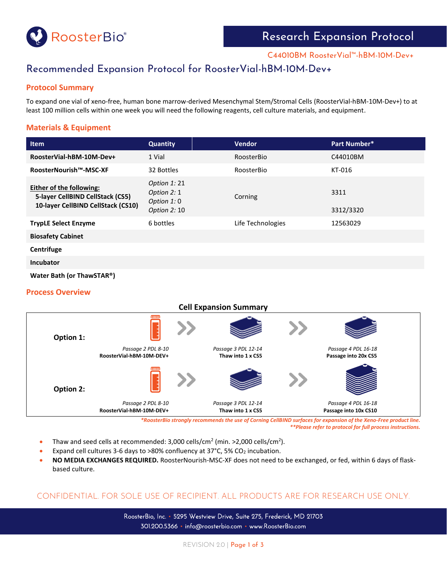

C44010BM RoosterVial™-hBM-10M-Dev+

# Recommended Expansion Protocol for RoosterVial-hBM-10M-Dev+

#### **Protocol Summary**

To expand one vial of xeno-free, human bone marrow-derived Mesenchymal Stem/Stromal Cells (RoosterVial-hBM-10M-Dev+) to at least 100 million cells within one week you will need the following reagents, cell culture materials, and equipment.

### **Materials & Equipment**

| <b>Item</b>                                                                                        | <b>Quantity</b>                                            | <b>Vendor</b>     | Part Number*      |
|----------------------------------------------------------------------------------------------------|------------------------------------------------------------|-------------------|-------------------|
| RoosterVial-hBM-10M-Dev+                                                                           | 1 Vial                                                     | RoosterBio        | C44010BM          |
| RoosterNourish™-MSC-XF                                                                             | 32 Bottles                                                 | RoosterBio        | KT-016            |
| Either of the following:<br>5-layer CellBIND CellStack (CS5)<br>10-layer CellBIND CellStack (CS10) | Option $1:21$<br>Option 2: 1<br>Option 1:0<br>Option 2: 10 | Corning           | 3311<br>3312/3320 |
| <b>TrypLE Select Enzyme</b>                                                                        | 6 bottles                                                  | Life Technologies | 12563029          |
| <b>Biosafety Cabinet</b>                                                                           |                                                            |                   |                   |
| - - -                                                                                              |                                                            |                   |                   |

**Centrifuge**

**Incubator**

**Water Bath (or ThawSTAR®)**

#### **Process Overview**



*\*RoosterBio strongly recommends the use of Corning CellBIND surfaces for expansion of the Xeno-Free product line. \*\*Please refer to protocol for full process instructions.*

- Thaw and seed cells at recommended:  $3,000$  cells/cm<sup>2</sup> (min. >2,000 cells/cm<sup>2</sup>).
- Expand cell cultures 3-6 days to >80% confluency at 37 $^{\circ}$ C, 5% CO<sub>2</sub> incubation.
- **NO MEDIA EXCHANGES REQUIRED.** RoosterNourish-MSC-XF does not need to be exchanged, or fed, within 6 days of flaskbased culture.

# CONFIDENTIAL. FOR SOLE USE OF RECIPIENT. ALL PRODUCTS ARE FOR RESEARCH USE ONLY.

RoosterBio, Inc. • 5295 Westview Drive, Suite 275, Frederick, MD 21703 301.200.5366 • info@roosterbio.com • www.RoosterBio.com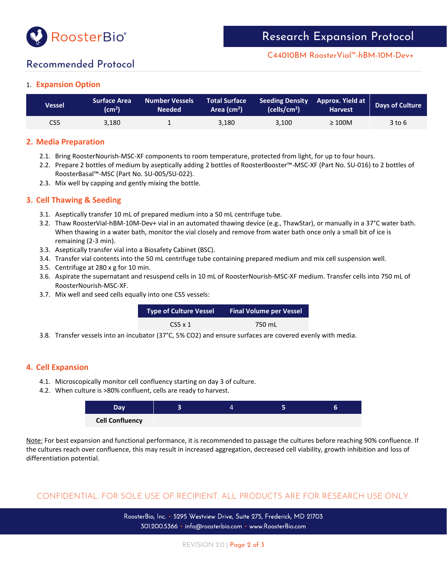

C44010BM RoosterVial™-hBM-10M-Dev+

# Recommended Protocol

## 1. **Expansion Option**

| Vessel | <b>Surface Area</b><br>$\mathsf{(cm^2)}$ | <b>Number Vessels</b><br><b>Needed</b> | <b>Total Surface</b><br>Area (cm <sup>2</sup> ) | Seeding Density Approx. Yield at<br>(cells/cm <sup>2</sup> ) | <b>Harvest</b> | <b>Days of Culture</b> |
|--------|------------------------------------------|----------------------------------------|-------------------------------------------------|--------------------------------------------------------------|----------------|------------------------|
| CS5    | 3.180                                    |                                        | 3.180                                           | 3.100                                                        | $\geq 100M$    | 3 to 6                 |

### **2. Media Preparation**

- 2.1. Bring RoosterNourish-MSC-XF components to room temperature, protected from light, for up to four hours.
- 2.2. Prepare 2 bottles of medium by aseptically adding 2 bottles of RoosterBooster™-MSC-XF (Part No. SU-016) to 2 bottles of RoosterBasal™-MSC (Part No. SU-005/SU-022).
- 2.3. Mix well by capping and gently mixing the bottle.

### **3. Cell Thawing & Seeding**

- 3.1. Aseptically transfer 10 mL of prepared medium into a 50 mL centrifuge tube.
- 3.2. Thaw RoosterVial-hBM-10M-Dev+ vial in an automated thawing device (e.g., ThawStar), or manually in a 37 $^{\circ}$ C water bath. When thawing in a water bath, monitor the vial closely and remove from water bath once only a small bit of ice is remaining (2-3 min).
- 3.3. Aseptically transfer vial into a Biosafety Cabinet (BSC).
- 3.4. Transfer vial contents into the 50 mL centrifuge tube containing prepared medium and mix cell suspension well.
- 3.5. Centrifuge at 280 x g for 10 min.
- 3.6. Aspirate the supernatant and resuspend cells in 10 mL of RoosterNourish-MSC-XF medium. Transfer cells into 750 mL of RoosterNourish-MSC-XF.
- 3.7. Mix well and seed cells equally into one CS5 vessels:

| Type of Culture Vessel | <b>Final Volume per Vessel</b> |  |  |
|------------------------|--------------------------------|--|--|
| $CS5 \times 1$         | 750 mL                         |  |  |

3.8. Transfer vessels into an incubator (37°C, 5% CO2) and ensure surfaces are covered evenly with media.

### **4. Cell Expansion**

- 4.1. Microscopically monitor cell confluency starting on day 3 of culture.
- 4.2. When culture is >80% confluent, cells are ready to harvest.



Note: For best expansion and functional performance, it is recommended to passage the cultures before reaching 90% confluence. If the cultures reach over confluence, this may result in increased aggregation, decreased cell viability, growth inhibition and loss of differentiation potential.

# CONFIDENTIAL. FOR SOLE USE OF RECIPIENT. ALL PRODUCTS ARE FOR RESEARCH USE ONLY.

RoosterBio, Inc. • 5295 Westview Drive, Suite 275, Frederick, MD 21703 301.200.5366 • info@roosterbio.com • www.RoosterBio.com